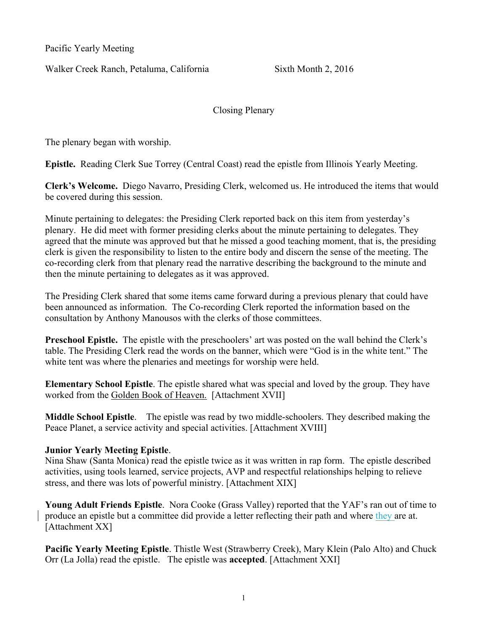Pacific Yearly Meeting

Walker Creek Ranch, Petaluma, California Sixth Month 2, 2016

Closing Plenary

The plenary began with worship.

Epistle. Reading Clerk Sue Torrey (Central Coast) read the epistle from Illinois Yearly Meeting.

Clerk's Welcome. Diego Navarro, Presiding Clerk, welcomed us. He introduced the items that would be covered during this session.

Minute pertaining to delegates: the Presiding Clerk reported back on this item from yesterday's plenary. He did meet with former presiding clerks about the minute pertaining to delegates. They agreed that the minute was approved but that he missed a good teaching moment, that is, the presiding clerk is given the responsibility to listen to the entire body and discern the sense of the meeting. The co-recording clerk from that plenary read the narrative describing the background to the minute and then the minute pertaining to delegates as it was approved.

The Presiding Clerk shared that some items came forward during a previous plenary that could have been announced as information. The Co-recording Clerk reported the information based on the consultation by Anthony Manousos with the clerks of those committees.

Preschool Epistle. The epistle with the preschoolers' art was posted on the wall behind the Clerk's table. The Presiding Clerk read the words on the banner, which were "God is in the white tent." The white tent was where the plenaries and meetings for worship were held.

Elementary School Epistle. The epistle shared what was special and loved by the group. They have worked from the Golden Book of Heaven. [Attachment XVII]

Middle School Epistle. The epistle was read by two middle-schoolers. They described making the Peace Planet, a service activity and special activities. [Attachment XVIII]

## Junior Yearly Meeting Epistle.

Nina Shaw (Santa Monica) read the epistle twice as it was written in rap form. The epistle described activities, using tools learned, service projects, AVP and respectful relationships helping to relieve stress, and there was lots of powerful ministry. [Attachment XIX]

Young Adult Friends Epistle. Nora Cooke (Grass Valley) reported that the YAF's ran out of time to produce an epistle but a committee did provide a letter reflecting their path and where they are at. [Attachment XX]

Pacific Yearly Meeting Epistle. Thistle West (Strawberry Creek), Mary Klein (Palo Alto) and Chuck Orr (La Jolla) read the epistle. The epistle was accepted. [Attachment XXI]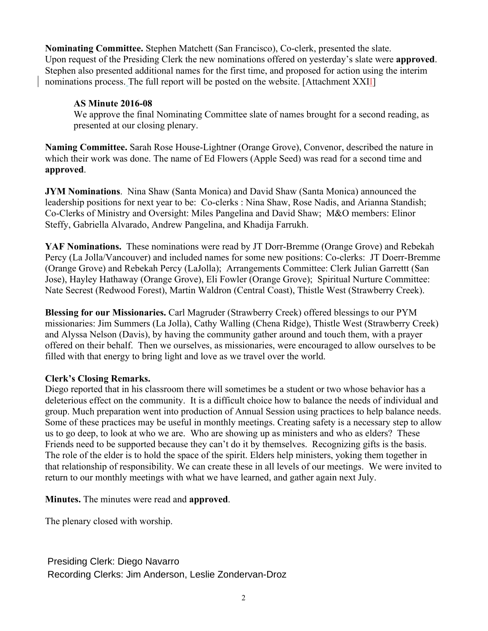Nominating Committee. Stephen Matchett (San Francisco), Co-clerk, presented the slate. Upon request of the Presiding Clerk the new nominations offered on yesterday's slate were **approved**. Stephen also presented additional names for the first time, and proposed for action using the interim nominations process. The full report will be posted on the website. [Attachment XXII]

## AS Minute 2016-08

We approve the final Nominating Committee slate of names brought for a second reading, as presented at our closing plenary.

Naming Committee. Sarah Rose House-Lightner (Orange Grove), Convenor, described the nature in which their work was done. The name of Ed Flowers (Apple Seed) was read for a second time and approved.

JYM Nominations. Nina Shaw (Santa Monica) and David Shaw (Santa Monica) announced the leadership positions for next year to be: Co-clerks : Nina Shaw, Rose Nadis, and Arianna Standish; Co-Clerks of Ministry and Oversight: Miles Pangelina and David Shaw; M&O members: Elinor Steffy, Gabriella Alvarado, Andrew Pangelina, and Khadija Farrukh.

YAF Nominations. These nominations were read by JT Dorr-Bremme (Orange Grove) and Rebekah Percy (La Jolla/Vancouver) and included names for some new positions: Co-clerks: JT Doerr-Bremme (Orange Grove) and Rebekah Percy (LaJolla); Arrangements Committee: Clerk Julian Garrettt (San Jose), Hayley Hathaway (Orange Grove), Eli Fowler (Orange Grove); Spiritual Nurture Committee: Nate Secrest (Redwood Forest), Martin Waldron (Central Coast), Thistle West (Strawberry Creek).

Blessing for our Missionaries. Carl Magruder (Strawberry Creek) offered blessings to our PYM missionaries: Jim Summers (La Jolla), Cathy Walling (Chena Ridge), Thistle West (Strawberry Creek) and Alyssa Nelson (Davis), by having the community gather around and touch them, with a prayer offered on their behalf. Then we ourselves, as missionaries, were encouraged to allow ourselves to be filled with that energy to bring light and love as we travel over the world.

## Clerk's Closing Remarks.

Diego reported that in his classroom there will sometimes be a student or two whose behavior has a deleterious effect on the community. It is a difficult choice how to balance the needs of individual and group. Much preparation went into production of Annual Session using practices to help balance needs. Some of these practices may be useful in monthly meetings. Creating safety is a necessary step to allow us to go deep, to look at who we are. Who are showing up as ministers and who as elders? These Friends need to be supported because they can't do it by themselves. Recognizing gifts is the basis. The role of the elder is to hold the space of the spirit. Elders help ministers, yoking them together in that relationship of responsibility. We can create these in all levels of our meetings. We were invited to return to our monthly meetings with what we have learned, and gather again next July.

Minutes. The minutes were read and approved.

The plenary closed with worship.

Presiding Clerk: Diego Navarro Recording Clerks: Jim Anderson, Leslie Zondervan-Droz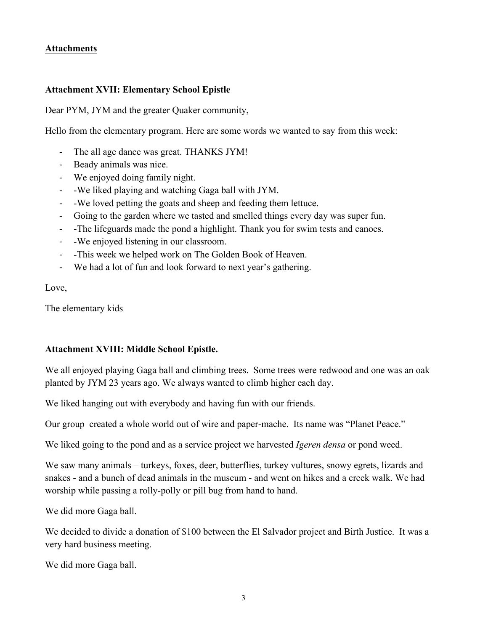## Attachments

## Attachment XVII: Elementary School Epistle

Dear PYM, JYM and the greater Quaker community,

Hello from the elementary program. Here are some words we wanted to say from this week:

- The all age dance was great. THANKS JYM!
- Beady animals was nice.
- We enjoyed doing family night.
- -We liked playing and watching Gaga ball with JYM.
- -We loved petting the goats and sheep and feeding them lettuce.
- Going to the garden where we tasted and smelled things every day was super fun.
- -The lifeguards made the pond a highlight. Thank you for swim tests and canoes.
- -We enjoyed listening in our classroom.
- -This week we helped work on The Golden Book of Heaven.
- We had a lot of fun and look forward to next year's gathering.

Love,

The elementary kids

## Attachment XVIII: Middle School Epistle.

We all enjoyed playing Gaga ball and climbing trees. Some trees were redwood and one was an oak planted by JYM 23 years ago. We always wanted to climb higher each day.

We liked hanging out with everybody and having fun with our friends.

Our group created a whole world out of wire and paper-mache. Its name was "Planet Peace."

We liked going to the pond and as a service project we harvested *Igeren densa* or pond weed.

We saw many animals – turkeys, foxes, deer, butterflies, turkey vultures, snowy egrets, lizards and snakes - and a bunch of dead animals in the museum - and went on hikes and a creek walk. We had worship while passing a rolly-polly or pill bug from hand to hand.

We did more Gaga ball.

We decided to divide a donation of \$100 between the El Salvador project and Birth Justice. It was a very hard business meeting.

We did more Gaga ball.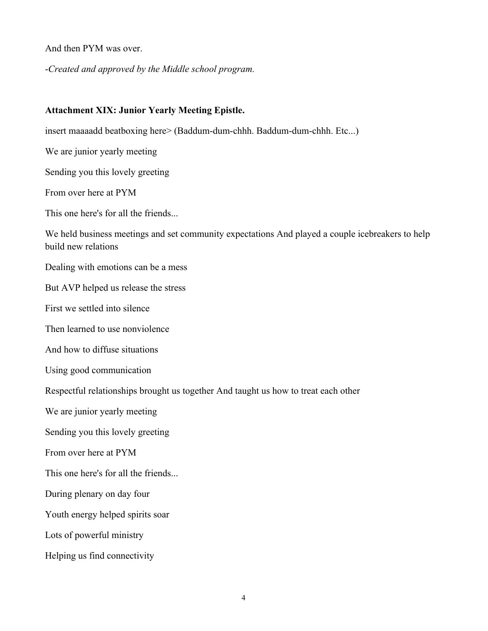And then PYM was over.

-*Created and approved by the Middle school program.*

## Attachment XIX: Junior Yearly Meeting Epistle.

insert maaaadd beatboxing here> (Baddum-dum-chhh. Baddum-dum-chhh. Etc...)

We are junior yearly meeting

Sending you this lovely greeting

From over here at PYM

This one here's for all the friends...

We held business meetings and set community expectations And played a couple icebreakers to help build new relations

Dealing with emotions can be a mess

But AVP helped us release the stress

First we settled into silence

Then learned to use nonviolence

And how to diffuse situations

Using good communication

Respectful relationships brought us together And taught us how to treat each other

We are junior yearly meeting

Sending you this lovely greeting

From over here at PYM

This one here's for all the friends...

During plenary on day four

Youth energy helped spirits soar

Lots of powerful ministry

Helping us find connectivity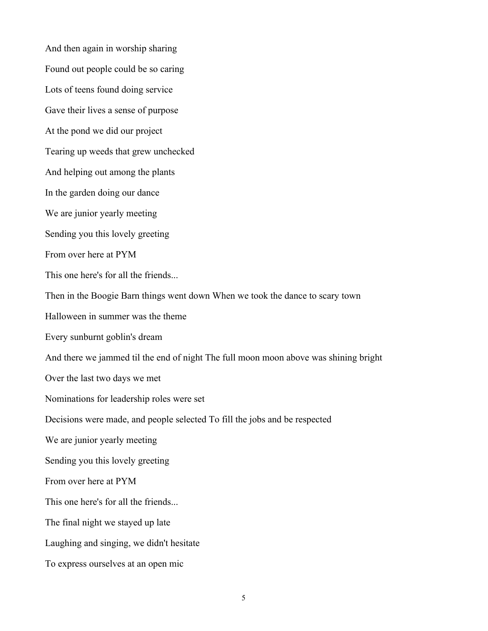And then again in worship sharing Found out people could be so caring Lots of teens found doing service Gave their lives a sense of purpose At the pond we did our project Tearing up weeds that grew unchecked And helping out among the plants In the garden doing our dance We are junior yearly meeting Sending you this lovely greeting From over here at PYM This one here's for all the friends... Then in the Boogie Barn things went down When we took the dance to scary town Halloween in summer was the theme Every sunburnt goblin's dream And there we jammed til the end of night The full moon moon above was shining bright Over the last two days we met Nominations for leadership roles were set Decisions were made, and people selected To fill the jobs and be respected We are junior yearly meeting Sending you this lovely greeting From over here at PYM This one here's for all the friends... The final night we stayed up late Laughing and singing, we didn't hesitate To express ourselves at an open mic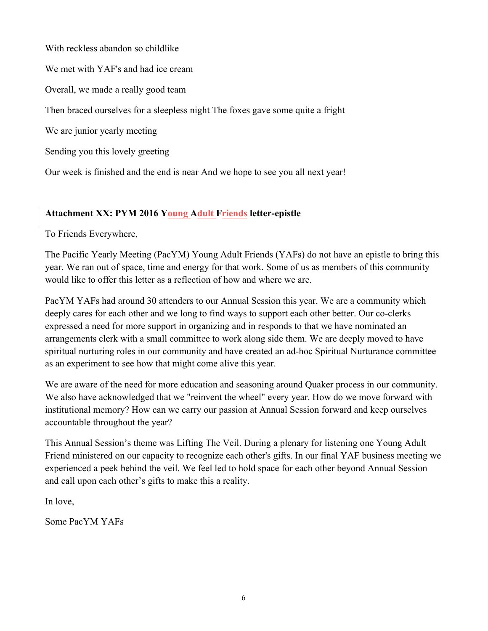With reckless abandon so childlike We met with YAF's and had ice cream Overall, we made a really good team Then braced ourselves for a sleepless night The foxes gave some quite a fright We are junior yearly meeting Sending you this lovely greeting

Our week is finished and the end is near And we hope to see you all next year!

# Attachment XX: PYM 2016 Young Adult Friends letter-epistle

To Friends Everywhere,

The Pacific Yearly Meeting (PacYM) Young Adult Friends (YAFs) do not have an epistle to bring this year. We ran out of space, time and energy for that work. Some of us as members of this community would like to offer this letter as a reflection of how and where we are.

PacYM YAFs had around 30 attenders to our Annual Session this year. We are a community which deeply cares for each other and we long to find ways to support each other better. Our co-clerks expressed a need for more support in organizing and in responds to that we have nominated an arrangements clerk with a small committee to work along side them. We are deeply moved to have spiritual nurturing roles in our community and have created an ad-hoc Spiritual Nurturance committee as an experiment to see how that might come alive this year.

We are aware of the need for more education and seasoning around Quaker process in our community. We also have acknowledged that we "reinvent the wheel" every year. How do we move forward with institutional memory? How can we carry our passion at Annual Session forward and keep ourselves accountable throughout the year?

This Annual Session's theme was Lifting The Veil. During a plenary for listening one Young Adult Friend ministered on our capacity to recognize each other's gifts. In our final YAF business meeting we experienced a peek behind the veil. We feel led to hold space for each other beyond Annual Session and call upon each other's gifts to make this a reality.

In love,

Some PacYM YAFs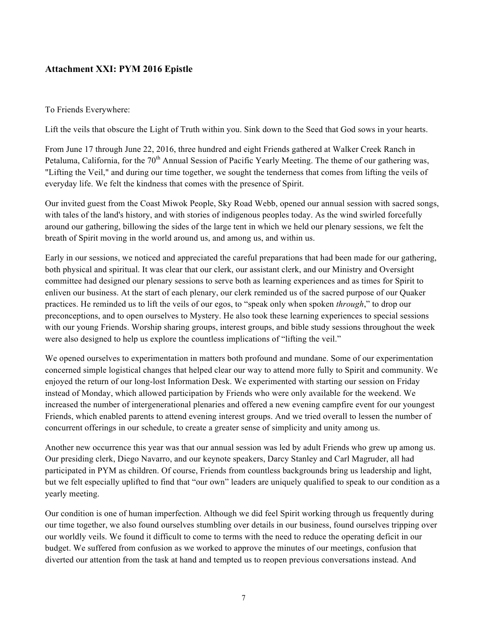## Attachment XXI: PYM 2016 Epistle

#### To Friends Everywhere:

Lift the veils that obscure the Light of Truth within you. Sink down to the Seed that God sows in your hearts.

From June 17 through June 22, 2016, three hundred and eight Friends gathered at Walker Creek Ranch in Petaluma, California, for the 70<sup>th</sup> Annual Session of Pacific Yearly Meeting. The theme of our gathering was, "Lifting the Veil," and during our time together, we sought the tenderness that comes from lifting the veils of everyday life. We felt the kindness that comes with the presence of Spirit.

Our invited guest from the Coast Miwok People, Sky Road Webb, opened our annual session with sacred songs, with tales of the land's history, and with stories of indigenous peoples today. As the wind swirled forcefully around our gathering, billowing the sides of the large tent in which we held our plenary sessions, we felt the breath of Spirit moving in the world around us, and among us, and within us.

Early in our sessions, we noticed and appreciated the careful preparations that had been made for our gathering, both physical and spiritual. It was clear that our clerk, our assistant clerk, and our Ministry and Oversight committee had designed our plenary sessions to serve both as learning experiences and as times for Spirit to enliven our business. At the start of each plenary, our clerk reminded us of the sacred purpose of our Quaker practices. He reminded us to lift the veils of our egos, to "speak only when spoken *through*," to drop our preconceptions, and to open ourselves to Mystery. He also took these learning experiences to special sessions with our young Friends. Worship sharing groups, interest groups, and bible study sessions throughout the week were also designed to help us explore the countless implications of "lifting the veil."

We opened ourselves to experimentation in matters both profound and mundane. Some of our experimentation concerned simple logistical changes that helped clear our way to attend more fully to Spirit and community. We enjoyed the return of our long-lost Information Desk. We experimented with starting our session on Friday instead of Monday, which allowed participation by Friends who were only available for the weekend. We increased the number of intergenerational plenaries and offered a new evening campfire event for our youngest Friends, which enabled parents to attend evening interest groups. And we tried overall to lessen the number of concurrent offerings in our schedule, to create a greater sense of simplicity and unity among us.

Another new occurrence this year was that our annual session was led by adult Friends who grew up among us. Our presiding clerk, Diego Navarro, and our keynote speakers, Darcy Stanley and Carl Magruder, all had participated in PYM as children. Of course, Friends from countless backgrounds bring us leadership and light, but we felt especially uplifted to find that "our own" leaders are uniquely qualified to speak to our condition as a yearly meeting.

Our condition is one of human imperfection. Although we did feel Spirit working through us frequently during our time together, we also found ourselves stumbling over details in our business, found ourselves tripping over our worldly veils. We found it difficult to come to terms with the need to reduce the operating deficit in our budget. We suffered from confusion as we worked to approve the minutes of our meetings, confusion that diverted our attention from the task at hand and tempted us to reopen previous conversations instead. And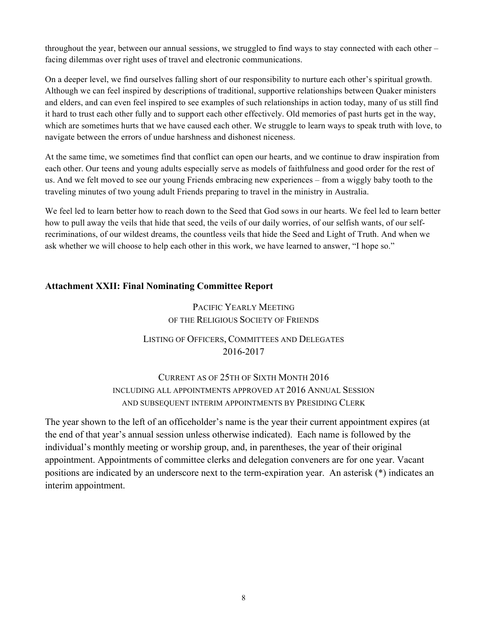throughout the year, between our annual sessions, we struggled to find ways to stay connected with each other – facing dilemmas over right uses of travel and electronic communications.

On a deeper level, we find ourselves falling short of our responsibility to nurture each other's spiritual growth. Although we can feel inspired by descriptions of traditional, supportive relationships between Quaker ministers and elders, and can even feel inspired to see examples of such relationships in action today, many of us still find it hard to trust each other fully and to support each other effectively. Old memories of past hurts get in the way, which are sometimes hurts that we have caused each other. We struggle to learn ways to speak truth with love, to navigate between the errors of undue harshness and dishonest niceness.

At the same time, we sometimes find that conflict can open our hearts, and we continue to draw inspiration from each other. Our teens and young adults especially serve as models of faithfulness and good order for the rest of us. And we felt moved to see our young Friends embracing new experiences – from a wiggly baby tooth to the traveling minutes of two young adult Friends preparing to travel in the ministry in Australia.

We feel led to learn better how to reach down to the Seed that God sows in our hearts. We feel led to learn better how to pull away the veils that hide that seed, the veils of our daily worries, of our selfish wants, of our selfrecriminations, of our wildest dreams, the countless veils that hide the Seed and Light of Truth. And when we ask whether we will choose to help each other in this work, we have learned to answer, "I hope so."

## Attachment XXII: Final Nominating Committee Report

# PACIFIC YEARLY MEETING OF THE RELIGIOUS SOCIETY OF FRIENDS

# LISTING OF OFFICERS, COMMITTEES AND DELEGATES 2016-2017

# CURRENT AS OF 25TH OF SIXTH MONTH 2016 INCLUDING ALL APPOINTMENTS APPROVED AT 2016 ANNUAL SESSION AND SUBSEQUENT INTERIM APPOINTMENTS BY PRESIDING CLERK

The year shown to the left of an officeholder's name is the year their current appointment expires (at the end of that year's annual session unless otherwise indicated). Each name is followed by the individual's monthly meeting or worship group, and, in parentheses, the year of their original appointment. Appointments of committee clerks and delegation conveners are for one year. Vacant positions are indicated by an underscore next to the term-expiration year. An asterisk (\*) indicates an interim appointment.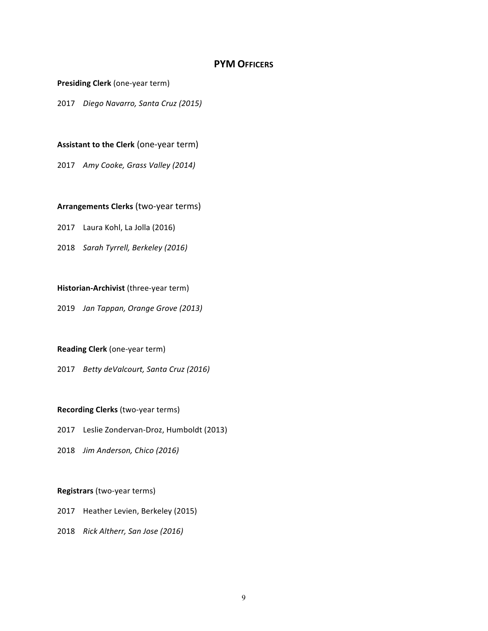### **PYM OFFICERS**

#### **Presiding Clerk** (one-year term)

2017 *Diego Navarro, Santa Cruz (2015)*

#### **Assistant to the Clerk** (one-year term)

2017 Amy Cooke, Grass Valley (2014)

#### **Arrangements Clerks** (two-year terms)

- 2017 Laura Kohl, La Jolla (2016)
- 2018 *Sarah Tyrrell, Berkeley (2016)*

#### **Historian-Archivist** (three-year term)

2019 *Jan Tappan, Orange Grove (2013)*

#### **Reading Clerk** (one-year term)

2017 *Betty deValcourt, Santa Cruz (2016)* 

#### **Recording Clerks** (two-year terms)

- 2017 Leslie Zondervan-Droz, Humboldt (2013)
- 2018 *Jim Anderson, Chico (2016)*

#### **Registrars** (two-year terms)

- 2017 Heather Levien, Berkeley (2015)
- 2018 *Rick Altherr, San Jose (2016)*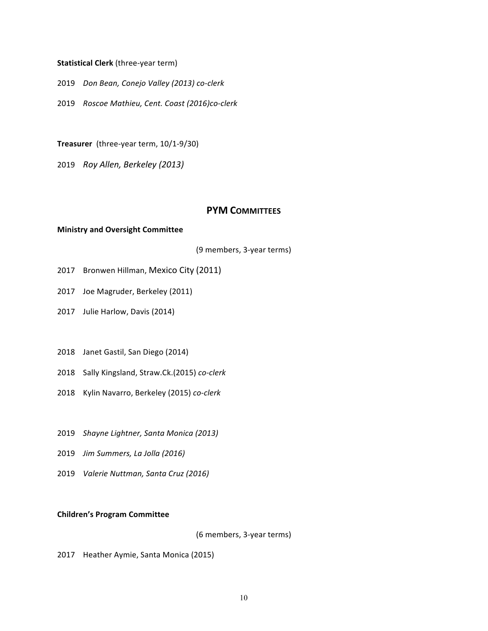#### **Statistical Clerk** (three-year term)

- 2019 *Don Bean, Conejo Valley (2013) co-clerk*
- 2019 *Roscoe Mathieu, Cent. Coast (2016)co-clerk*

**Treasurer** (three-year term, 10/1-9/30)

2019 *Roy Allen, Berkeley (2013)*

## **PYM COMMITTEES**

#### **Ministry and Oversight Committee**

(9 members, 3-year terms)

- 2017 Bronwen Hillman, Mexico City (2011)
- 2017 Joe Magruder, Berkeley (2011)
- 2017 Julie Harlow, Davis (2014)
- 2018 Janet Gastil, San Diego (2014)
- 2018 Sally Kingsland, Straw.Ck.(2015) *co-clerk*
- 2018 Kylin Navarro, Berkeley (2015) *co-clerk*
- 2019 *Shayne Lightner, Santa Monica (2013)*
- 2019 *Jim Summers, La Jolla (2016)*
- 2019 *Valerie Nuttman, Santa Cruz (2016)*

#### **Children's Program Committee**

(6 members, 3-year terms)

2017 Heather Aymie, Santa Monica (2015)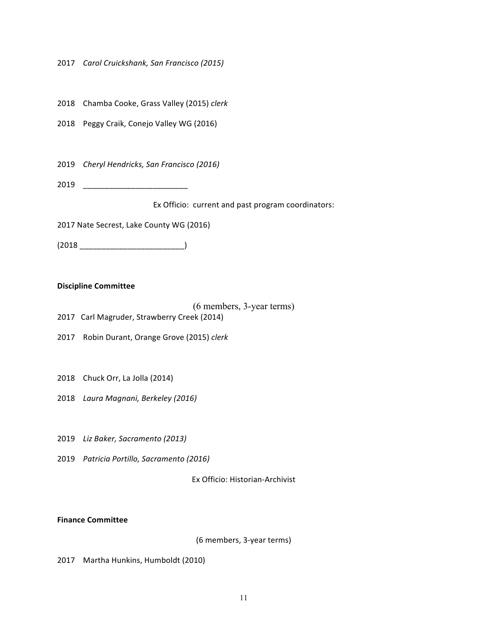2017 *Carol Cruickshank, San Francisco (2015)*

2018 Chamba Cooke, Grass Valley (2015) clerk

2018 Peggy Craik, Conejo Valley WG (2016)

2019 *Cheryl Hendricks, San Francisco (2016)*

2019 \_\_\_\_\_\_\_\_\_\_\_\_\_\_\_\_\_\_\_\_\_\_\_\_

Ex Officio: current and past program coordinators:

2017 Nate Secrest, Lake County WG (2016)

(2018 \_\_\_\_\_\_\_\_\_\_\_\_\_\_\_\_\_\_\_\_\_\_\_\_)

#### **Discipline Committee**

#### (6 members, 3-year terms)

- 2017 Carl Magruder, Strawberry Creek (2014)
- 2017 Robin Durant, Orange Grove (2015) *clerk*
- 2018 Chuck Orr, La Jolla (2014)
- 2018 Laura Magnani, Berkeley (2016)
- 2019 *Liz Baker, Sacramento (2013)*
- 2019 *Patricia Portillo, Sacramento (2016)*

Ex Officio: Historian-Archivist

**Finance Committee**

(6 members, 3-year terms)

2017 Martha Hunkins, Humboldt (2010)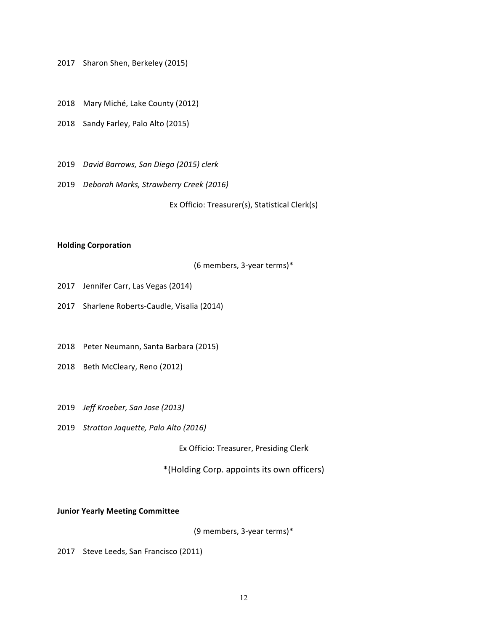2017 Sharon Shen, Berkeley (2015)

- 2018 Mary Miché, Lake County (2012)
- 2018 Sandy Farley, Palo Alto (2015)
- 2019 *David Barrows, San Diego (2015) clerk*
- 2019 *Deborah Marks, Strawberry Creek (2016)*

Ex Officio: Treasurer(s), Statistical Clerk(s)

#### **Holding Corporation**

(6 members, 3-year terms)\*

- 2017 Jennifer Carr, Las Vegas (2014)
- 2017 Sharlene Roberts-Caudle, Visalia (2014)
- 2018 Peter Neumann, Santa Barbara (2015)
- 2018 Beth McCleary, Reno (2012)
- 2019 *Jeff Kroeber, San Jose (2013)*
- 2019 *Stratton Jaquette, Palo Alto (2016)*

Ex Officio: Treasurer, Presiding Clerk

\*(Holding Corp. appoints its own officers)

#### **Junior Yearly Meeting Committee**

(9 members, 3-year terms)\*

2017 Steve Leeds, San Francisco (2011)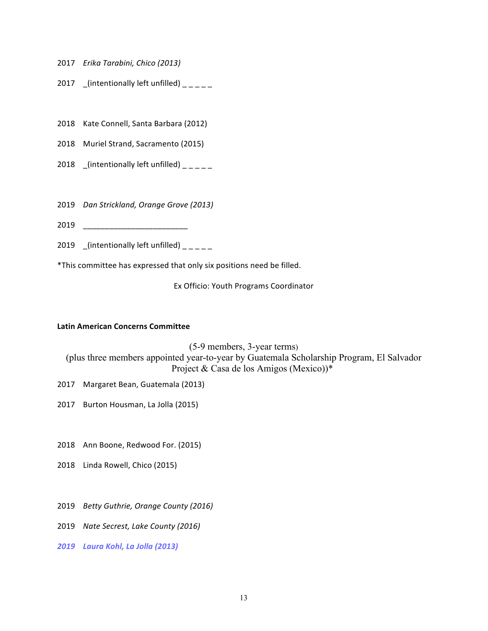- 2017 *Erika Tarabini, Chico (2013)*
- 2017 (intentionally left unfilled)  $\frac{1}{2}$
- 2018 Kate Connell, Santa Barbara (2012)
- 2018 Muriel Strand, Sacramento (2015)
- 2018  $\left[$ (intentionally left unfilled)  $\left[$
- 2019 *Dan Strickland, Orange Grove (2013)*
- 2019 \_\_\_\_\_\_\_\_\_\_\_\_\_\_\_\_\_\_\_\_\_\_\_\_
- 2019  $\int$ (intentionally left unfilled)  $\int$

\*This committee has expressed that only six positions need be filled.

Ex Officio: Youth Programs Coordinator

#### **Latin American Concerns Committee**

(5-9 members, 3-year terms) (plus three members appointed year-to-year by Guatemala Scholarship Program, El Salvador Project & Casa de los Amigos (Mexico))\*

- 2017 Margaret Bean, Guatemala (2013)
- 2017 Burton Housman, La Jolla (2015)
- 2018 Ann Boone, Redwood For. (2015)
- 2018 Linda Rowell, Chico (2015)
- 2019 *Betty Guthrie, Orange County (2016)*
- 2019 *Nate Secrest, Lake County (2016)*
- *2019 Laura Kohl, La Jolla (2013)*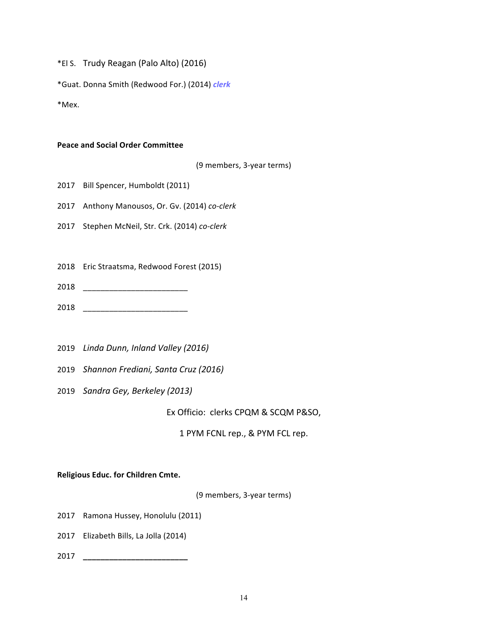\*El S. Trudy Reagan (Palo Alto) (2016)

\*Guat. Donna Smith (Redwood For.) (2014) *clerk*

\*Mex.

#### **Peace and Social Order Committee**

(9 members, 3-year terms)

2017 Bill Spencer, Humboldt (2011)

2017 Anthony Manousos, Or. Gv. (2014) co-clerk

2017 Stephen McNeil, Str. Crk. (2014) *co-clerk*

2018 Eric Straatsma, Redwood Forest (2015)

- 2018 \_\_\_\_\_\_\_\_\_\_\_\_\_\_\_\_\_\_\_\_\_\_\_\_
- 2018 \_\_\_\_\_\_\_\_\_\_\_\_\_\_\_\_\_\_\_\_\_\_\_\_
- 2019 Linda Dunn, Inland Valley (2016)
- 2019 *Shannon Frediani, Santa Cruz (2016)*
- 2019 *Sandra Gey, Berkeley (2013)*

Ex Officio: clerks CPQM & SCQM P&SO,

1 PYM FCNL rep., & PYM FCL rep.

#### **Religious Educ. for Children Cmte.**

(9 members, 3-year terms)

- 2017 Ramona Hussey, Honolulu (2011)
- 2017 Elizabeth Bills, La Jolla (2014)
- 2017 **\_\_\_\_\_\_\_\_\_\_\_\_\_\_\_\_\_\_\_\_\_\_\_\_**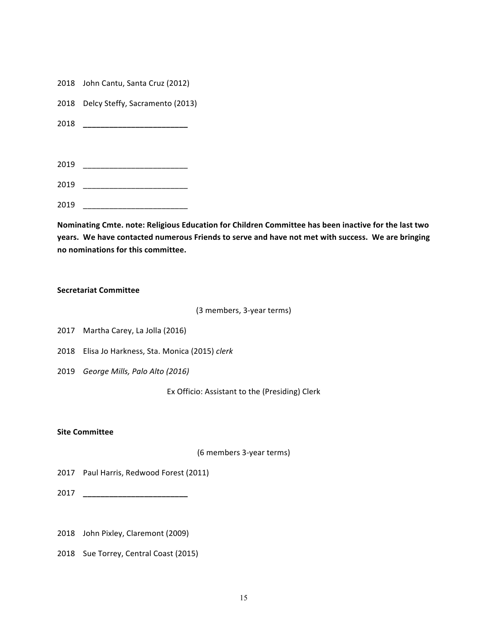- 2018 John Cantu, Santa Cruz (2012)
- 2018 Delcy Steffy, Sacramento (2013)
- 2018 **\_\_\_\_\_\_\_\_\_\_\_\_\_\_\_\_\_\_\_\_\_\_\_\_**
- 2019 \_\_\_\_\_\_\_\_\_\_\_\_\_\_\_\_\_\_\_\_\_\_\_\_
- 2019 \_\_\_\_\_\_\_\_\_\_\_\_\_\_\_\_\_\_\_\_\_\_\_\_
- 2019 \_\_\_\_\_\_\_\_\_\_\_\_\_\_\_\_\_\_\_\_\_\_\_\_

Nominating Cmte. note: Religious Education for Children Committee has been inactive for the last two years. We have contacted numerous Friends to serve and have not met with success. We are bringing **no nominations for this committee.**

#### **Secretariat Committee**

(3 members, 3-year terms)

- 2017 Martha Carey, La Jolla (2016)
- 2018 Elisa Jo Harkness, Sta. Monica (2015) *clerk*
- 2019 *George Mills, Palo Alto (2016)*

Ex Officio: Assistant to the (Presiding) Clerk

#### **Site Committee**

(6 members 3-year terms)

2017 Paul Harris, Redwood Forest (2011)

2017 **\_\_\_\_\_\_\_\_\_\_\_\_\_\_\_\_\_\_\_\_\_\_\_\_**

- 2018 John Pixley, Claremont (2009)
- 2018 Sue Torrey, Central Coast (2015)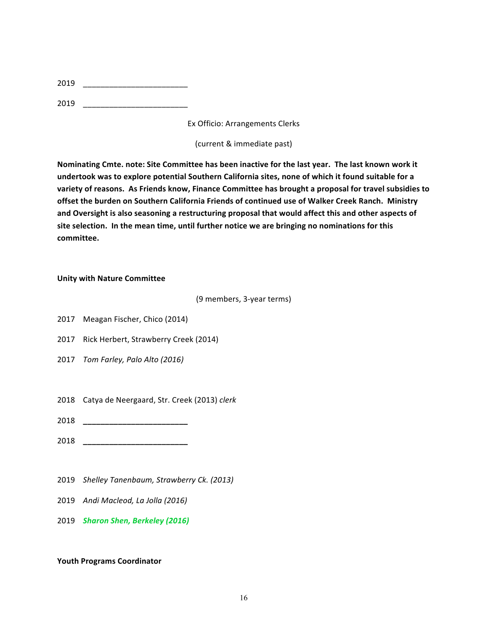| 2019 |  |
|------|--|
|      |  |

2019 \_\_\_\_\_\_\_\_\_\_\_\_\_\_\_\_\_\_\_\_\_\_\_\_

Ex Officio: Arrangements Clerks 

(current & immediate past)

Nominating Cmte. note: Site Committee has been inactive for the last year. The last known work it undertook was to explore potential Southern California sites, none of which it found suitable for a variety of reasons. As Friends know, Finance Committee has brought a proposal for travel subsidies to offset the burden on Southern California Friends of continued use of Walker Creek Ranch. Ministry and Oversight is also seasoning a restructuring proposal that would affect this and other aspects of site selection. In the mean time, until further notice we are bringing no nominations for this **committee.**

### **Unity with Nature Committee**

(9 members, 3-year terms)

- 2017 Meagan Fischer, Chico (2014)
- 2017 Rick Herbert, Strawberry Creek (2014)
- 2017 *Tom Farley, Palo Alto (2016)*
- 2018 Catya de Neergaard, Str. Creek (2013) clerk
- 2018 **\_\_\_\_\_\_\_\_\_\_\_\_\_\_\_\_\_\_\_\_\_\_\_\_**
- 2018 **\_\_\_\_\_\_\_\_\_\_\_\_\_\_\_\_\_\_\_\_\_\_\_\_**
- 2019 *Shelley Tanenbaum, Strawberry Ck. (2013)*
- 2019 *Andi Macleod, La Jolla (2016)*
- 2019 *Sharon Shen, Berkeley (2016)*

## **Youth Programs Coordinator**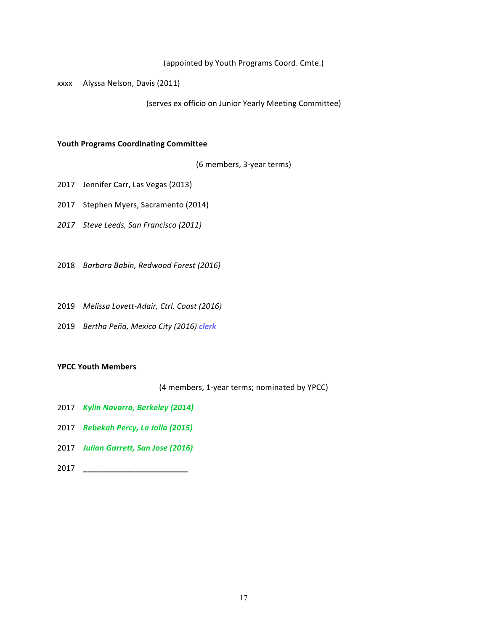(appointed by Youth Programs Coord. Cmte.)

xxxx Alyssa Nelson, Davis (2011)

(serves ex officio on Junior Yearly Meeting Committee)

#### **Youth Programs Coordinating Committee**

(6 members, 3-year terms)

- 2017 Jennifer Carr, Las Vegas (2013)
- 2017 Stephen Myers, Sacramento (2014)
- *2017 Steve Leeds, San Francisco (2011)*
- 2018 *Barbara Babin, Redwood Forest (2016)*
- 2019 *Melissa Lovett-Adair, Ctrl. Coast (2016)*
- 2019 *Bertha Peña, Mexico City (2016) clerk*

#### **YPCC Youth Members**

(4 members, 1-year terms; nominated by YPCC)

- 2017 *Kylin Navarro, Berkeley (2014)*
- 2017 *Rebekah Percy, La Jolla (2015)*
- 2017 *Julian Garrett, San Jose (2016)*
- 2017 **\_\_\_\_\_\_\_\_\_\_\_\_\_\_\_\_\_\_\_\_\_\_\_\_**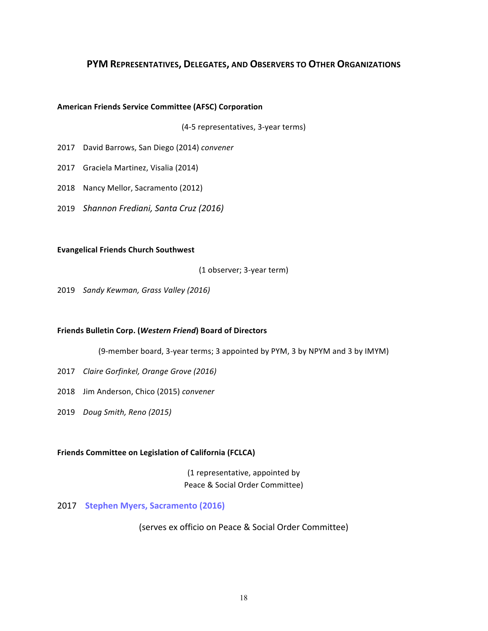## **PYM REPRESENTATIVES, DELEGATES, AND OBSERVERS TO OTHER ORGANIZATIONS**

#### **American Friends Service Committee (AFSC) Corporation**

(4-5 representatives, 3-year terms)

- 2017 David Barrows, San Diego (2014) *convener*
- 2017 Graciela Martinez, Visalia (2014)
- 2018 Nancy Mellor, Sacramento (2012)
- 2019 *Shannon Frediani, Santa Cruz (2016)*

#### **Evangelical Friends Church Southwest**

(1 observer; 3-year term)

2019 *Sandy Kewman, Grass Valley (2016)*

#### **Friends Bulletin Corp. (***Western Friend***) Board of Directors**

(9-member board, 3-year terms; 3 appointed by PYM, 3 by NPYM and 3 by IMYM)

- 2017 *Claire Gorfinkel, Orange Grove (2016)*
- 2018 Jim Anderson, Chico (2015) convener
- 2019 *Doug Smith, Reno (2015)*

#### **Friends Committee on Legislation of California (FCLCA)**

(1 representative, appointed by Peace & Social Order Committee)

#### 2017 Stephen Myers, Sacramento (2016)

(serves ex officio on Peace & Social Order Committee)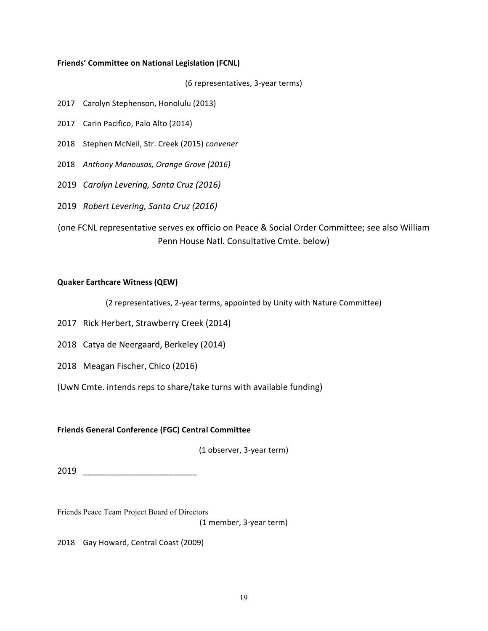#### **Friends' Committee on National Legislation (FCNL)**

(6 representatives, 3-year terms)

- 2017 Carolyn Stephenson, Honolulu (2013)
- 2017 Carin Pacifico, Palo Alto (2014)
- 2018 Stephen McNeil, Str. Creek (2015) convener
- 2018 Anthony Manousos, Orange Grove (2016)
- 2019 *Carolyn Levering, Santa Cruz (2016)*
- 2019 *Robert Levering, Santa Cruz (2016)*

(one FCNL representative serves ex officio on Peace & Social Order Committee; see also William Penn House Natl. Consultative Cmte. below)

#### **Quaker Earthcare Witness (QEW)**

(2 representatives, 2-year terms, appointed by Unity with Nature Committee)

- 2017 Rick Herbert, Strawberry Creek (2014)
- 2018 Catya de Neergaard, Berkeley (2014)
- 2018 Meagan Fischer, Chico (2016)
- (UwN Cmte. intends reps to share/take turns with available funding)

#### **Friends General Conference (FGC) Central Committee**

(1 observer, 3-year term)

2019 \_\_\_\_\_\_\_\_\_\_\_\_\_\_\_\_\_\_\_\_\_\_\_\_

Friends Peace Team Project Board of Directors

(1 member, 3-year term)

2018 Gay Howard, Central Coast (2009)